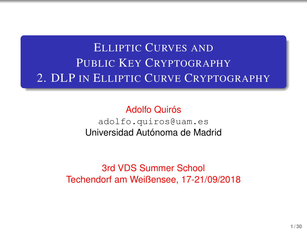# ELLIPTIC CURVES AND PUBLIC KEY CRYPTOGRAPHY 2. DLP IN ELLIPTIC CURVE CRYPTOGRAPHY

Adolfo Quirós <adolfo.quiros@uam.es> Universidad Autónoma de Madrid

3rd VDS Summer School Techendorf am Weißensee, 17-21/09/2018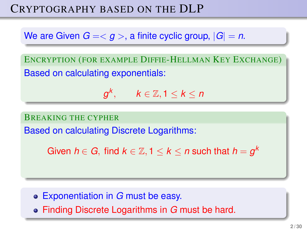# CRYPTOGRAPHY BASED ON THE DLP

We are Given  $G = \langle q \rangle$ , a finite cyclic group,  $|G| = n$ .

ENCRYPTION (FOR EXAMPLE DIFFIE-HELLMAN KEY EXCHANGE) Based on calculating exponentials:

 $g^k, \qquad k \in \mathbb{Z}, 1 \leq k \leq n$ 

BREAKING THE CYPHER

Based on calculating Discrete Logarithms:

Given  $h \in G$ , find  $k \in \mathbb{Z},$  1  $\leq$   $k$   $\leq$  *n* such that  $h = g^k$ 

- Exponentiation in *G* must be easy.
- Finding Discrete Logarithms in *G* must be hard.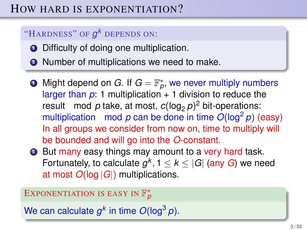# HOW HARD IS EXPONENTIATION?

### "HARDNESS" OF *g <sup>k</sup>* DEPENDS ON:

- **•** Difficulty of doing one multiplication.
- **2** Number of multiplications we need to make.
- **D** Might depend on  $G$ . If  $G = \mathbb{F}_p^*$ , we never multiply numbers larger than  $p: 1$  multiplication  $+ 1$  division to reduce the result mod  $p$  take, at most,  $c(\log_2 p)^2$  bit-operations: multiplication mod  $p$  can be done in time  $O(\log^2 p)$  (easy) In all groups we consider from now on, time to multiply will be bounded and will go into the *O*-constant.
- **2** But many easy things may amount to a very hard task. Fortunately, to calculate  $g^k$ , 1  $\leq$   $k \leq$  |G| (any *G*) we need at most *O*(log |*G*|) multiplications.

# EXPONENTIATION IS EASY IN F ∗ *p*

We can calculate  $g^k$  in time  $O(\log^3 p)$ .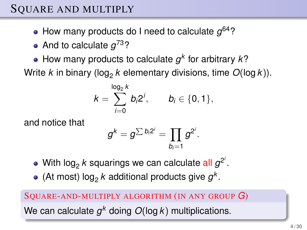- How many products do I need to calculate *g* <sup>64</sup>?
- And to calculate *g* <sup>73</sup>?
- How many products to calculate  $g^k$  for arbitrary  $k$ ?

Write *k* in binary (log<sub>2</sub> k elementary divisions, time  $O(\log k)$ ).

$$
k=\sum_{i=0}^{\log_2 k} b_i 2^i, \qquad b_i \in \{0,1\},
$$

and notice that

$$
g^k=g^{\sum b_i 2^i}=\prod_{b_i=1}g^{2^i}.
$$

- With log<sub>2</sub>  $k$  squarings we can calculate all  $g^{2^i}$ .
- (At most)  $log_2 k$  additional products give  $g^k$ .

# SQUARE-AND-MULTIPLY ALGORITHM (IN ANY GROUP *G*) We can calculate  $g^k$  doing  $O(\log k)$  multiplications.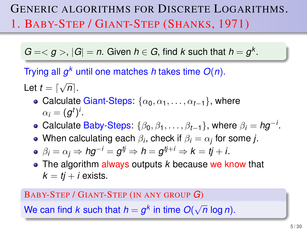# GENERIC ALGORITHMS FOR DISCRETE LOGARITHMS. 1. BABY-STEP / GIANT-STEP (SHANKS, 1971)

 $G = < g >$ ,  $|G| = n$ . Given  $h \in G$ , find *k* such that  $h = g<sup>k</sup>$ .

Trying all *g <sup>k</sup>* until one matches *h* takes time *O*(*n*).

Let  $t = \lceil$ √  $n$  .

- Calculate Giant-Steps:  $\{\alpha_0, \alpha_1, \dots, \alpha_{t-1}\}\$ , where  $\alpha_i = (g^t)^i$ .
- Calculate Baby-Steps:  $\{\beta_0, \beta_1, \ldots, \beta_{t-1}\}$ , where  $\beta_i = h g^{-i}$ .
- When calculating each  $\beta_i,$  check if  $\beta_i = \alpha_j$  for some  $j.$
- $\beta_i = \alpha_j \Rightarrow h g^{-i} = g^{tj} \Rightarrow h = g^{tj+i} \Rightarrow k = tj+i.$
- The algorithm always outputs *k* because we know that  $k = t^i + i$  exists.

#### BABY-STEP / GIANT-STEP (IN ANY GROUP *G*)

We can find  $k$  such that  $h = g^k$  in time  $O(k)$ √ *n* log *n*).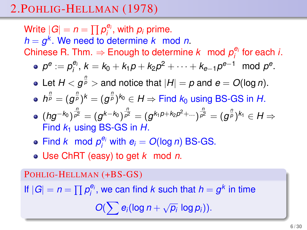# 2.POHLIG-HELLMAN (1978)

Write  $|G| = n = \prod p_i^{e_i}$ , with  $p_i$  prime. *h* = *g k* . We need to determine *k* mod *n*. Chinese R. Thm.  $\Rightarrow$  Enough to determine k mod  $p_i^{e_i}$  for each *i*.  $p^e := p_i^{e_i}, k = k_0 + k_1p + k_2p^2 + \cdots + k_{e-1}p^{e-1} \mod p^e.$ Let  $H < g^{\frac{n}{p}} >$  and notice that  $|H| = p$  and  $e = O(\log n)$ .  $h^{\frac{n}{p}} = (g^{\frac{n}{p}})^k = (g^{\frac{n}{p}})^{k_0} \in H \Rightarrow$  Find  $k_0$  using BS-GS in  $H.$ 

- $(hg^{-k_0})^{\frac{n}{p^2}}=(g^{k-k_0})^{\frac{n}{p^2}}=(g^{k_1p+k_2p^2+\dots})^{\frac{n}{p^2}}=(g^{\frac{n}{p}})^{k_1}\in H\Rightarrow$ Find *k*<sup>1</sup> using BS-GS in *H*.
- Find *k* mod  $p_i^{e_i}$  with  $e_i = O(\log n)$  BS-GS.
- Use ChRT (easy) to get *k* mod *n*.

POHLIG-HELLMAN (+BS-GS) If  $|G| = n = \prod p_i^{e_i}$ , we can find *k* such that  $h = g^k$  in time  $O(\sum e_i(\log n + \sqrt{n})$  $\overline{p_i}$  log  $p_i$ )).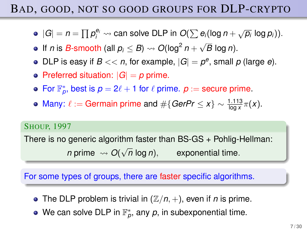# BAD, GOOD, NOT SO GOOD GROUPS FOR DLP-CRYPTO

- $|G| = n = \prod p_i^{e_i} \leadsto$  can solve DLP in  $O(\sum e_i(\log n + \sqrt{p_i}\log p_i)).$
- If *n* is *B*-smooth (all  $p_i \leq B$ )  $\rightsquigarrow O(\log^2 n +$ √ *B* log *n*).
- DLP is easy if  $B \ll n$ , for example,  $|G| = p^e$ , small  $p$  (large  $e$ ).
- Preferred situation:  $|G| = p$  prime.
- For  $\mathbb{F}_p^*$ , best is  $p = 2\ell + 1$  for  $\ell$  prime.  $p :=$  secure prime.
- Many:  $\ell := \text{German in prime and } \#\{\text{GerPr} \leq x\} \sim \frac{1.113}{\log x} \pi(x).$

#### SHOUP, 1997

There is no generic algorithm faster than BS-GS + Pohlig-Hellman:

 $n$  prime  $\rightarrow$   $O(\sqrt{2})$ *n* log *n*), exponential time.

### For some types of groups, there are faster specific algorithms.

- The DLP problem is trivial in  $(\mathbb{Z}/n, +)$ , even if *n* is prime.
- We can solve DLP in  $\mathbb{F}_p^*$ , any  $p$ , in subexponential time.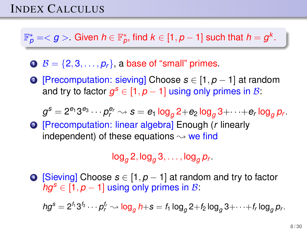# INDEX CALCULUS

 $\mathbb{F}_\rho^*=<\bm{g}>~$  Given  $h\in\mathbb{F}_\rho^*$ , find  $k\in[1,\bm{\rho}-1]$  such that  $h=\bm{g}^k.$ 

- $\mathbf{0}$   $\mathcal{B} = \{2, 3, \ldots, p_r\}$ , a base of "small" primes.
- <sup>2</sup> [Precomputation: sieving] Choose *s* ∈ [1, *p* − 1] at random and try to factor  $g^s \in [1, p-1]$  using only primes in B:

$$
g^s=2^{e_1}3^{e_3}\cdots p_r^{e_r}\leadsto s=e_1\log_g 2+e_2\log_g 3+\cdots+e_r\log_g p_r.
$$

<sup>3</sup> [Precomputation: linear algebra] Enough (*r* linearly independent) of these equations  $\rightsquigarrow$  we find

 $\log_{g} 2$ ,  $\log_{g} 3$ , . . . ,  $\log_{g} p_r$ .

<sup>4</sup> [Sieving] Choose *s* ∈ [1, *p* − 1] at random and try to factor  $ha^s \in [1, p-1]$  using only primes in B:

 $hg^{\pmb{S}} = 2^{f_1}3^{f_3}\cdots p_r^{f_r} \rightsquigarrow \log_g h + s = f_1\log_g 2 + f_2\log_g 3 + \cdots + f_r\log_g p_r.$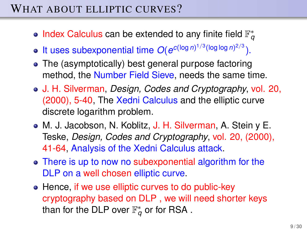# WHAT ABOUT ELLIPTIC CURVES?

- Index Calculus can be extended to any finite field  $\mathbb{F}_q^*$
- It uses subexponential time  $O(e^{c(\log n)^{1/3}(\log \log n)^{2/3}})$ .
- The (asymptotically) best general purpose factoring method, the Number Field Sieve, needs the same time.
- J. H. Silverman, *Design, Codes and Cryptography*, vol. 20, (2000), 5-40, The Xedni Calculus and the elliptic curve discrete logarithm problem.
- M. J. Jacobson, N. Koblitz, J. H. Silverman, A. Stein y E. Teske, *Design, Codes and Cryptography*, vol. 20, (2000), 41-64, Analysis of the Xedni Calculus attack.
- There is up to now no subexponential algorithm for the DLP on a well chosen elliptic curve.
- Hence, if we use elliptic curves to do public-key cryptography based on DLP , we will need shorter keys than for the DLP over  $\mathbb{F}^*_q$  or for RSA .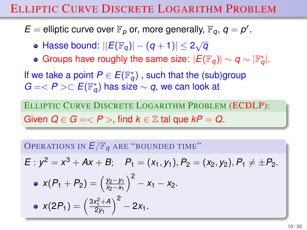# ELLIPTIC CURVE DISCRETE LOGARITHM PROBLEM

- $E =$  elliptic curve over  $\mathbb{F}_p$  or, more generally,  $\mathbb{F}_q$ ,  $q = p^r$ .
	- Hasse bound:  $||E(\mathbb{F}_q)| (q+1)| \leq 2\sqrt{q}$
	- Groups have roughly the same size:  $|E(\mathbb{F}_q)| \sim q \sim |\mathbb{F}_q^*|.$

If we take a point  $P \in E(\mathbb{F}_q^*)$  , such that the (sub)group  $G = < P > \subset E(\mathbb{F}_q^*)$  has size  $\sim q,$  we can look at

ELLIPTIC CURVE DISCRETE LOGARITHM PROBLEM (ECDLP): Given  $Q \in G = \langle P \rangle$ , find  $k \in \mathbb{Z}$  tal que  $kP = Q$ .

OPERATIONS IN  $E/\mathbb{F}_q$  are "bounded time"

$$
E: y^2 = x^3 + Ax + B; \quad P_1 = (x_1, y_1), P_2 = (x_2, y_2), P_1 \neq \pm P_2.
$$

• 
$$
x(P_1 + P_2) = \left(\frac{y_2 - y_1}{x_2 - x_1}\right)^2 - x_1 - x_2.
$$
  
\n•  $x(2P_1) = \left(\frac{3x_1^2 + A}{2y_1}\right)^2 - 2x_1.$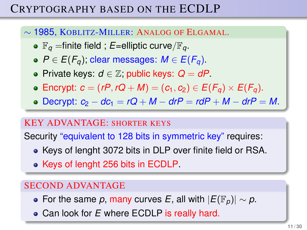# CRYPTOGRAPHY BASED ON THE ECDLP

### ∼ 1985, KOBLITZ-MILLER: ANALOG OF ELGAMAL.

- $\mathbb{F}_q$  =finite field ; *E*=elliptic curve/ $\mathbb{F}_q$ .
- $P$  ∈ *E*( $F_q$ ); clear messages: *M* ∈ *E*( $F_q$ ).
- Private keys: *d* ∈ Z; public keys: *Q* = *dP*.
- Encrypt:  $c = (rP, rQ + M) = (c_1, c_2) \in E(F_q) \times E(F_q)$ .
- $\bullet$  Decrypt:  $c_2 dc_1 = rQ + M drP = rdP + M drP = M$ .

#### KEY ADVANTAGE: SHORTER KEYS

Security "equivalent to 128 bits in symmetric key" requires:

- Keys of lenght 3072 bits in DLP over finite field or RSA.
- Keys of lenght 256 bits in ECDLP.

### SECOND ADVANTAGE

- For the same *p*, many curves *E*, all with  $|E(\mathbb{F}_p)| \sim p$ .
- Can look for *E* where ECDLP is really hard.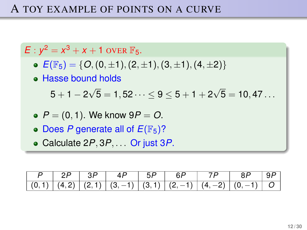# A TOY EXAMPLE OF POINTS ON A CURVE

 $E: y^2 = x^3 + x + 1$  over  $\mathbb{F}_5$ .

- $\bullet$   $E(\mathbb{F}_5) = \{O, (0, \pm 1), (2, \pm 1), (3, \pm 1), (4, \pm 2)\}$
- Hasse bound holds

 $5+1-2$ √  ${\bf 5}={\bf 1},{\bf 52} \cdots \leq {\bf 9} \leq {\bf 5}+{\bf 1}+{\bf 2}$ √  ${\bf 5}={\bf 10},{\bf 47}\ldots$ 

- *P* = (0, 1). We know 9*P* = *O*.
- Does *P* generate all of  $E(\mathbb{F}_5)$ ?
- Calculate 2*P*, 3*P*, . . . Or just 3*P*.

|  | $(0,1)$ $(4,2)$ $(2,1)$ $(3,-1)$ $(3,1)$ $(2,-1)$ $(4,-2)$ $(0,-1)$ O |  |  |  |
|--|-----------------------------------------------------------------------|--|--|--|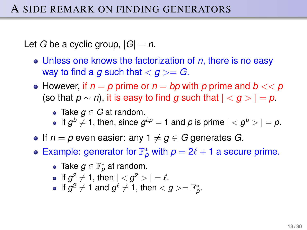Let *G* be a cyclic group,  $|G| = n$ .

- Unless one knows the factorization of *n*, there is no easy way to find a *g* such that  $\langle g \rangle = G$ .
- However, if  $n = p$  prime or  $n = bp$  with p prime and  $b \ll p$ (so that  $p \sim n$ ), it is easy to find *g* such that  $| \langle q \rangle = p$ .
	- Take *g* ∈ *G* at random.
	- If  $g^b \neq 1$ , then, since  $g^{bp} = 1$  and  $p$  is prime  $| < g^b > | = p$ .
- If  $n = p$  even easier: any  $1 \neq q \in G$  generates *G*.
- Example: generator for  $\mathbb{F}_p^*$  with  $p = 2\ell + 1$  a secure prime.
	- Take  $g \in \mathbb{F}_p^*$  at random.
	- If  $g^2 \neq 1$ , then  $| < g^2 > | = \ell$ .
	- If  $g^2 \neq 1$  and  $g^{\ell} \neq 1$ , then  $g > = \mathbb{F}_p^*$ .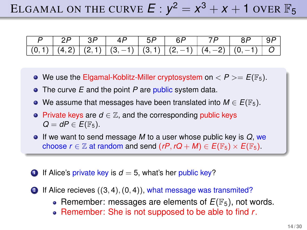# ELGAMAL ON THE CURVE  $E: y^2 = x^3 + x + 1$  over  $\mathbb{F}_5$

| $\mid$ 2P $\mid$ 3P | $\vert$ 4P | $\vert$ 5P $\vert$ 6P |                                                                              | $\begin{array}{c c} \hline \end{array}$ 8P   9P |  |
|---------------------|------------|-----------------------|------------------------------------------------------------------------------|-------------------------------------------------|--|
|                     |            |                       | $ (0,1)  (4,2)  (2,1)  (3,-1)  (3,\overline{1})   (2,-1)  (4,-2)  (0,-1)  O$ |                                                 |  |

- $\bullet$  We use the Elgamal-Koblitz-Miller cryptosystem on  $\lt P \gt = E(\mathbb{F}_5)$ .
- The curve *E* and the point *P* are public system data.
- $\bullet$  We assume that messages have been translated into *M* ∈ *E*( $\mathbb{F}_5$ ).
- **Private keys are**  $d \in \mathbb{Z}$ **, and the corresponding public keys**  $Q = dP \in E(\mathbb{F}_5)$ .
- If we want to send message *M* to a user whose public key is *Q*, we choose  $r \in \mathbb{Z}$  at random and send  $(rP, rQ + M) \in E(\mathbb{F}_5) \times E(\mathbb{F}_5)$ .
- **1** If Alice's private key is  $d = 5$ , what's her public key?
- $\bullet$  If Alice recieves  $((3, 4), (0, 4))$ , what message was transmited?
	- Remember: messages are elements of  $E(\mathbb{F}_5)$ , not words.
	- Remember: She is not supposed to be able to find *r*.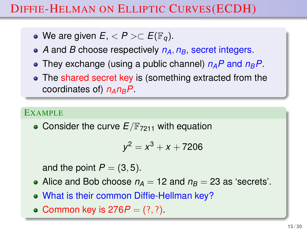# DIFFIE-HELMAN ON ELLIPTIC CURVES(ECDH)

- We are given  $E, < P > \subset E(\mathbb{F}_q)$ .
- *A* and *B* choose respectively *nA*, *nB*, secret integers.
- They exchange (using a public channel) *nAP* and *nBP*.
- The shared secret key is (something extracted from the coordinates of) *nAnBP*.

#### EXAMPLE

• Consider the curve  $E/\mathbb{F}_{7211}$  with equation

$$
y^2 = x^3 + x + 7206
$$

and the point  $P = (3, 5)$ .

- Alice and Bob choose  $n_A = 12$  and  $n_B = 23$  as 'secrets'.
- What is their common Diffie-Hellman key?
- Common key is  $276P = (?, ?)$ .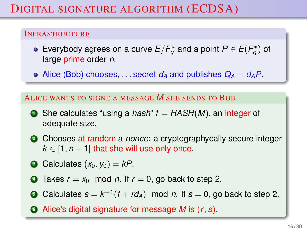#### INFRASTRUCTURE

- Everybody agrees on a curve  $E/F_q^*$  and a point  $P\in E(F_q^*)$  of large prime order *n*.
- Alice (Bob) chooses, ... secret  $d_A$  and publishes  $Q_A = d_A P$ .

#### ALICE WANTS TO SIGNE A MESSAGE *M* SHE SENDS TO BOB

- **1** She calculates "using a *hash"*  $f = HASH(M)$ , an integer of adequate size.
- <sup>2</sup> Chooses at random a *nonce*: a cryptographycally secure integer  $k \in [1, n-1]$  that she will use only once.
- $\bullet$  Calculates  $(x_0, y_0) = kP$ .
- $\bullet$  Takes  $r = x_0$  mod *n*. If  $r = 0$ , go back to step 2.
- $\bullet$  Calculates  $s = k^{-1}(f + rd_A)$  mod *n*. If  $s = 0$ , go back to step 2.
- <sup>6</sup> Alice's digital signature for message *M* is (*r*, *s*).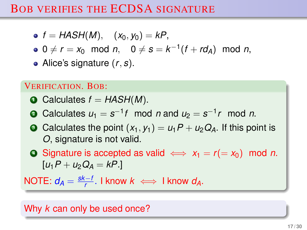# BOB VERIFIES THE ECDSA SIGNATURE

• 
$$
f = HASH(M), (x_0, y_0) = kP,
$$

 $0 \neq r = x_0 \mod n$ ,  $0 \neq s = k^{-1}(f + rd_A) \mod n$ ,

Alice's signature (*r*, *s*).

### VERIFICATION. BOB:

- $\bullet$  Calculates  $f = HASH(M)$ .
- **2** Calculates  $u_1 = s^{-1}t$  mod *n* and  $u_2 = s^{-1}r$  mod *n*.
- $\bullet$  Calculates the point  $(x_1, y_1) = u_1P + u_2Q_A$ . If this point is *O*, signature is not valid.

**■** Signature is accepted as valid  $\iff$   $x_1 = r (= x_0)$  mod *n*.  $[u_1P + u_2Q_4 = kP.$ 

NOTE:  $d_A = \frac{sk-i}{r}$  $\frac{f - I}{f}$ . I know  $k \iff$  I know  $d_A$ .

Why *k* can only be used once?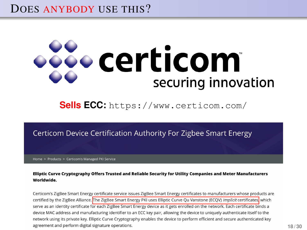# DOES ANYBODY USE THIS?

# **São certicom** securing innovation

### **Sells ECC:** <https://www.certicom.com/>

#### Certicom Device Certification Authority For Zigbee Smart Energy

Home > Products > Certicom's Managed PKI Service

#### Elliptic Curve Cryptography Offers Trusted and Reliable Security for Utility Companies and Meter Manufacturers Worldwide.

Certicom's ZigBee Smart Energy certificate service issues ZigBee Smart Energy certificates to manufacturers whose products are certified by the ZigBee Alliance. The ZigBee Smart Energy PKI uses Elliptic Curve Ou Vanstone (ECOV) *implicit* certificates, which serve as an identity certificate for each ZigBee Smart Energy device as it gets enrolled on the network. Each certificate binds a device MAC address and manufacturing identifier to an ECC key pair, allowing the device to uniquely authenticate itself to the network using its private key. Elliptic Curve Cryptography enables the device to perform efficient and secure authenticated key agreement and perform digital signature operations.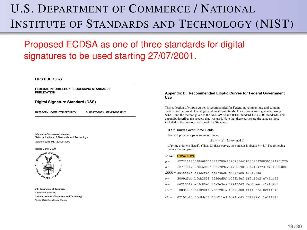# U.S. DEPARTMENT OF COMMERCE / NATIONAL INSTITUTE OF STANDARDS AND TECHNOLOGY (NIST)

#### Proposed ECDSA as one of three standards for digital signatures to be used starting 27/07/2001. x *Pseudorandom* curves are those whose coefficients are generated from the output of a

#### **FIPS PUB 186-3**

**FEDERAL INFORMATION PROCESSING STANDARDS PUBLICATION** 

#### **Digital Signature Standard (DSS)**

**CATEGORY: COMPUTER SECURITY SUBCATEGORY: CRYPTOGRAPHY** 

**Information Technology Laboratory**  National Institute of Standards and Technology Gaithersburg, MD 20899-8900



**U.S. Department of Commerce**  *Gary Locke, Secretary*  **National Institute of Standards and Technology**  *Patrick Gallagher, Deputy Director* 

#### Appendix D: Recommended Elliptic Curves for Federal Government **Use**

This collection of elliptic curves is recommended for Federal government use and contains choices for the private key length and underlying fields. These curves were generated using SHA-1 and the method given in the ANS X9.62 and IEEE Standard 1363-2000 standards. This appendix describes the process that was used. Note that these curves are the same as those included in the previous version of this Standard.

#### **D.1.2 Curves over Prime Fields**

For each prime  $p$ , a pseudo-random curve

 $E: y^2 = x^3 - 3x + b \pmod{p}$ 

of prime order *n* is listed<sup>4</sup>. (Thus, for these curves, the cofactor is always  $h = 1$ .) The following parameters are given:

#### **Doint 12. In Called the point has order in the point has order in the prime modulus** *c* **a large prime modulus** *p**n***, which is a large prime modulus** *p**n***, which is a large prime. The prime modulus** *p**n***, which is a**

- p.i.z.i <mark>Curve P-192</mark><br>p= 6277101735386680763835789423207666416083908700390324961279
- n =  $627710173538668076383578942317605901376719477318284228408$
- **SEED**= 3045ae6f c8422f64 ed579528 d
- $c = 3099d2bb 160c2538 542dcd5f 1607$
- 64210519 e59c80e7 Ofa7e9ab 72243049 feb8deec c146b9b1  $h =$
- 188da80e b03090f6 7chf20eb 43a18800 f4ff0afd 82ff1012  $G_{-}$

 $G_v = 07192b95$  ffc8da78 631011ed 6b24cdd5 73f977a1 1e794811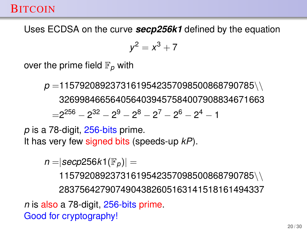# **BITCOIN**

Uses ECDSA on the curve *secp256k1* defined by the equation

$$
y^2=x^3+7
$$

over the prime field  $\mathbb{F}_p$  with

*p* =11579208923731619542357098500868790785\\ 3269984665640564039457584007908834671663  $=$ 2 $^{256}$   $-$  2 $^{32}$   $-$  2 $^{9}$   $-$  2 $^{8}$   $-$  2 $^{7}$   $-$  2 $^{6}$   $-$  2 $^{4}$   $-$  1

*p* is a 78-digit, 256-bits prime.

It has very few signed bits (speeds-up *kP*).

 $n = |$ *secp*256*k*1( $\mathbb{F}_p$ )| =

11579208923731619542357098500868790785\\ 2837564279074904382605163141518161494337

*n* is also a 78-digit, 256-bits prime. Good for cryptography!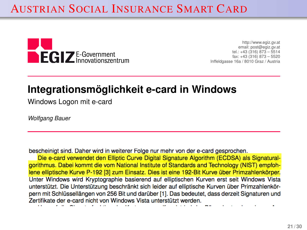# AUSTRIAN SOCIAL INSURANCE SMART CARD



http://www.egiz.gv.at email: post@egiz.gv.at tel.: +43 (316) 873 – 5514 fax: +43 (316) 873 – 5520 Inffeldgasse 16a / 8010 Graz / Austria

# **Integrationsmöglichkeit e-card in Windows**

Windows Logon mit e-card

*Wolfgang Bauer*

bescheinigt sind. Daher wird in weiterer Folge nur mehr von der e-card gesprochen.<br>Die e-card verwendet den Elliptic Curve Digital Signature Algorithm (ECDSA) als Signatural-

aorithmus. Dabei kommt die vom National Institute of Standards and Technology (NIST) empfoh-Iene elliptische Kurve P-192 [3] zum Einsatz. Dies ist eine 192-Bit Kurve über Primzahlenkörper. Unter Windows wird Kryptographie basierend auf elliptischen Kurven erst seit Windows Vista unterstützt. Die Unterstützung beschränkt sich leider auf elliptische Kurven über Primzahlenkörpern mit Schlüssellängen von 256 Bit und darüber [1]. Das bedeutet, dass derzeit Signaturen und Zertifikate der e-card nicht von Windows Vista unterstützt werden.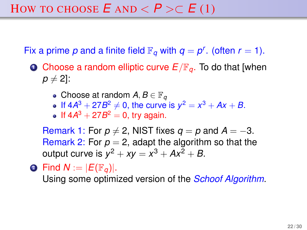Fix a prime p and a finite field  $\mathbb{F}_q$  with  $q = p^r$ . (often  $r = 1$ ).

- <span id="page-21-0"></span>**O** Choose a random elliptic curve  $E/\mathbb{F}_q$ . To do that [when  $p \neq 2$ ]:
	- Choose at random  $A, B \in \mathbb{F}_q$
	- If  $4A^3 + 27B^2 \neq 0$ , the curve is  $y^2 = x^3 + Ax + B$ .
	- If  $4A^3 + 27B^2 = 0$ , try again.

Remark 1: For  $p \neq 2$ , NIST fixes  $q = p$  and  $A = -3$ . Remark 2: For  $p = 2$ , adapt the algorithm so that the output curve is  $y^2 + xy = x^3 + Ax^2 + B$ .

 $\bullet$  Find  $N := |E(\mathbb{F}_q)|$ .

Using some optimized version of the *Schoof Algorithm*.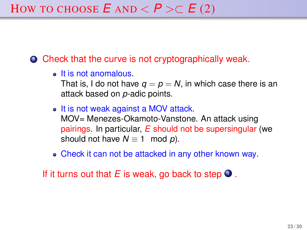• Check that the curve is not cryptographically weak.

• It is not anomalous.

That is, I do not have  $q = p = N$ , in which case there is an attack based on *p*-adic points.

- It is not weak against a MOV attack. MOV= Menezes-Okamoto-Vanstone. An attack using pairings. In particular, *E* should not be supersingular (we should not have  $N \equiv 1 \mod p$ .
- Check it can not be attacked in any other known way.

If it turns out that  $E$  is weak, go back to step  $\bullet$ .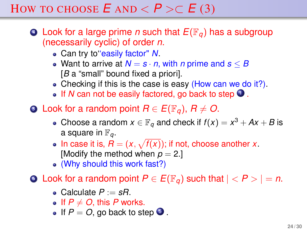# HOW TO CHOOSE  $E$  AND  $\lt P \gt C$   $E$  (3)

- $\bullet$  Look for a large prime *n* such that  $E(\mathbb{F}_q)$  has a subgroup (necessarily cyclic) of order *n*.
	- Can try to''easily factor" *N*.
	- Want to arrive at  $N = s \cdot n$ , with *n* prime and  $s \leq B$ [*B* a "small" bound fixed a priori].
	- Checking if this is the case is easy (How can we do it?).
	- $\bullet$  If *N* can not be easily factored, go back to step  $\bullet$ .
- <span id="page-23-0"></span>**5** Look for a random point  $R \in E(\mathbb{F}_q)$ ,  $R \neq O$ .
	- Choose a random  $x \in \mathbb{F}_q$  and check if  $f(x) = x^3 + Ax + B$  is a square in  $\mathbb{F}_q$ .
	- In case it is,  $R = (x, \sqrt{f(x)})$ ; if not, choose another *x*. [Modify the method when  $p = 2$ .]
	- (Why should this work fast?)

**0** Look for a random point  $P \in E(\mathbb{F}_q)$  such that  $| < P > | = n$ .

- Calculate  $P := sR$ .
- If  $P \neq O$ , this *P* works.
- If  $P = O$ , go back to step  $\bullet$ .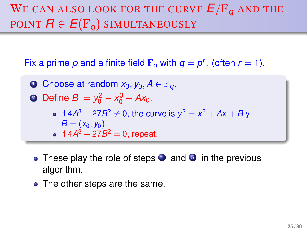# WE CAN ALSO LOOK FOR THE CURVE  $E/\mathbb{F}_q$  and the POINT  $R \in E(\mathbb{F}_q)$  SIMULTANEOUSLY

Fix a prime p and a finite field  $\mathbb{F}_q$  with  $q = p^r$ . (often  $r = 1$ ).

- **1** Choose at random  $x_0, y_0, A \in \mathbb{F}_q$ .
- 2 Define  $B := y_0^2 x_0^3 Ax_0$ .
	- If  $4A^3 + 27B^2 \neq 0$ , the curve is  $y^2 = x^3 + Ax + By$  $R = (x_0, y_0).$ If  $4A^3 + 27B^2 = 0$ , repeat.
	- These play the role of steps  $\bullet$  and  $\bullet$  in the previous algorithm.
- The other steps are the same.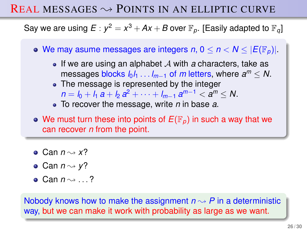# REAL MESSAGES  $\rightsquigarrow$  POINTS IN AN ELLIPTIC CURVE

Say we are using  $E: y^2 = x^3 + Ax + B$  over  $\mathbb{F}_p.$  [Easily adapted to  $\mathbb{F}_q\mathbb{I}$ 

- We may asume messages are integers  $n, 0 \le n < N \le |E(\mathbb{F}_p)|$ .
	- If we are using an alphabet  $\mathcal A$  with  $\alpha$  characters, take as  $m$ essages blocks  $l_0l_1 \ldots l_{m-1}$  of  $m$  letters, where  $a^m \leq N$ .
	- The message is represented by the integer  $n = l_0 + l_1 a + l_2 a^2 + \cdots + l_{m-1} a^{m-1} < a^m \le N.$
	- To recover the message, write *n* in base *a*.
- We must turn these into points of  $E(\mathbb{F}_p)$  in such a way that we can recover *n* from the point.
- Can  $n \rightarrow x$ ?
- Can  $n \rightarrow y$ ?
- $\bullet$  Can  $n \rightarrow \ldots$  ?

Nobody knows how to make the assignment  $n \rightarrow P$  in a deterministic way, but we can make it work with probability as large as we want.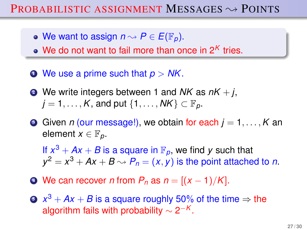# PROBABILISTIC ASSIGNMENT MESSAGES  $\rightsquigarrow$  POINTS

- We want to assign  $n \rightarrow P \in E(\mathbb{F}_p)$ .
- We do not want to fail more than once in 2<sup>K</sup> tries.
- <sup>1</sup> We use a prime such that *p* > *NK*.
- $\bullet$  We write integers between 1 and *NK* as  $nK + j$ ,  $j = 1, \ldots, K$ , and put  $\{1, \ldots, NK\} \subset \mathbb{F}_p$ .
- **3** Given *n* (our message!), we obtain for each  $j = 1, \ldots, K$  and element  $x \in \mathbb{F}_n$ .

If  $x^3 + Ax + B$  is a square in  $\mathbb{F}_p$ , we find y such that  $y^2 = x^3 + Ax + B \rightsquigarrow P_n = (x, y)$  is the point attached to *n*.

- $\bullet$  We can recover *n* from  $P_n$  as  $n = \frac{(x 1)}{K}$ .
- $\mathbf{S} \;\; x^3 + \mathsf{A} x + \mathsf{B}$  is a square roughly 50% of the time  $\Rightarrow$  the algorithm fails with probability  $\sim$  2<sup>-*K*</sup>.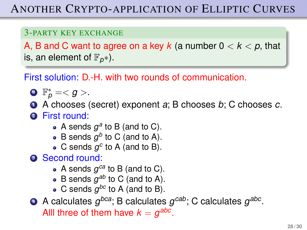# ANOTHER CRYPTO-APPLICATION OF ELLIPTIC CURVES

### 3-PARTY KEY EXCHANGE

A, B and C want to agree on a key  $k$  (a number  $0 < k < p$ , that is, an element of  $\mathbb{F}_{p^*}$ ).

First solution: D.-H. with two rounds of communication.

$$
\bullet \ \mathbb{F}_p^*=.
$$

- <sup>1</sup> A chooses (secret) exponent *a*; B chooses *b*; C chooses *c*.
- <sup>2</sup> First round:
	- A sends  $g^a$  to B (and to C).
	- B sends  $g^b$  to C (and to A).
	- C sends  $g^c$  to A (and to B).

**3** Second round:

- A sends  $g^{ca}$  to B (and to C).
- B sends  $g^{ab}$  to C (and to A).
- C sends  $g^{bc}$  to A (and to B).

 $\bullet$  A calculates  $g^{bca}$ ; B calculates  $g^{cab}$ ; C calculates  $g^{abc}$ . Alll three of them have  $k = g^{abc}$ .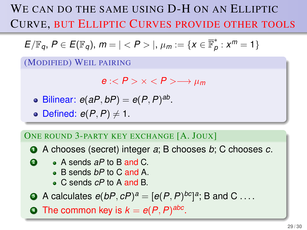WE CAN DO THE SAME USING D-H ON AN ELLIPTIC CURVE, BUT ELLIPTIC CURVES PROVIDE OTHER TOOLS

$$
E/\mathbb{F}_q, P \in E(\mathbb{F}_q), m = | |, \mu_m := \{x \in \overline{\mathbb{F}}_p^*: x^m = 1\}
$$

(MODIFIED) WEIL PAIRING

 $e \cdot < P$  >  $\times < P$  >  $\rightarrow \mu_m$ 

- Bilinear:  $e(aP, bP) = e(P, P)^{ab}$ .
- $\bullet$  Defined:  $e(P, P) \neq 1$ .

### ONE ROUND 3-PARTY KEY EXCHANGE [A. JOUX]

<sup>1</sup> A chooses (secret) integer *a*; B chooses *b*; C chooses *c*.

- **2** A sends aP to B and C.
	- B sends *bP* to C and A.
	- C sends *cP* to A and B.
- **3** A calculates  $e(bP, cP)^a = [e(P, P)^{bc}]^a$ ; B and C ....

**1** The common key is  $k = e(P, P)^{abc}$ .